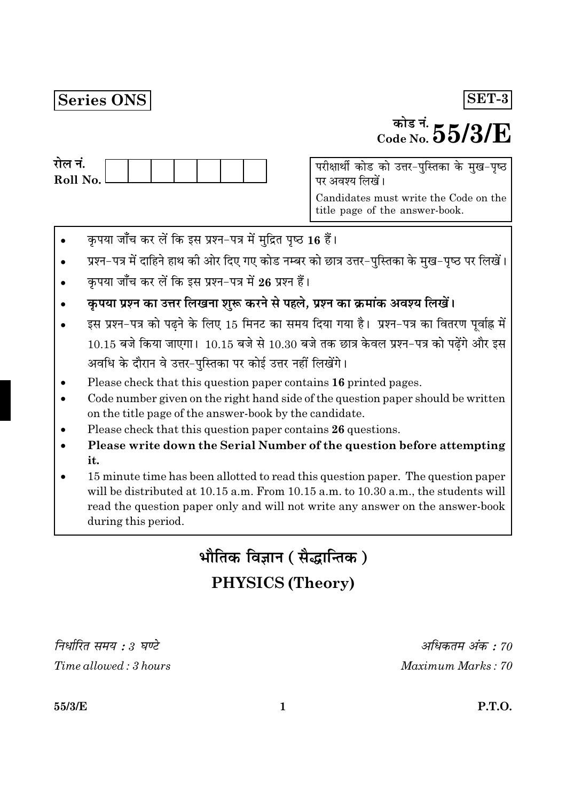### Series ONS

# $_{\tiny{\text{Code No.}}}^{\tiny{\text{min}\,\vec{\pi}}}\,55/3/\text{E}$

SET-3

| राल न.     |  |  |  |  |
|------------|--|--|--|--|
| Roll No. l |  |  |  |  |
|            |  |  |  |  |

परीक्षार्थी कोड को उत्तर-पुस्तिका के मुख-पृष्ठ पर अवश्य लिखें।

Candidates must write the Code on the title page of the answer-book.

- कृपया जाँच कर लें कि इस प्रश्न-पत्र में मुद्रित पृष्ठ 16 हैं।
- प्रश्न-पत्र में दाहिने हाथ की ओर दिए गए कोड नम्बर को छात्र उत्तर-पुस्तिका के मुख-पृष्ठ पर लिखें।
- कपया जाँच कर लें कि इस प्रश्न-पत्र में 26 प्रश्न हैं।
- कृपया प्रश्न का उत्तर लिखना शुरू करने से पहले, प्रश्न का क्रमांक अवश्य लिखें।
- इस प्रश्न-पत्र को पढ़ने के लिए 15 मिनट का समय दिया गया है। प्रश्न-पत्र का वितरण पूर्वाह्न में  $10.15$  बजे किया जाएगा।  $10.15$  बजे से  $10.30$  बजे तक छात्र केवल प्रश्न-पत्र को पढ़ेंगे और इस अवधि के दौरान वे उत्तर-पुस्तिका पर कोई उत्तर नहीं लिखेंगे।
- Please check that this question paper contains 16 printed pages.
- Code number given on the right hand side of the question paper should be written on the title page of the answer-book by the candidate.
- Please check that this question paper contains 26 questions.
- Please write down the Serial Number of the question before attempting it.
- 15 minute time has been allotted to read this question paper. The question paper will be distributed at 10.15 a.m. From 10.15 a.m. to 10.30 a.m., the students will read the question paper only and will not write any answer on the answer-book during this period.

## भौतिक विज्ञान ( सैद्धान्तिक ) **PHYSICS (Theory)**

निर्धारित समय : 3 घण्टे Time allowed: 3 hours

अधिकतम अंक : 70 Maximum Marks: 70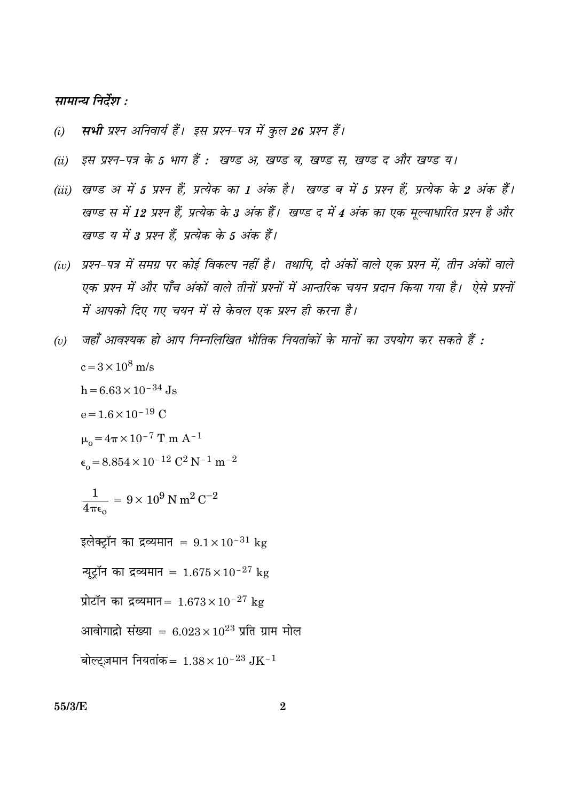#### सामान्य निर्देश :

- सभी प्रश्न अनिवार्य हैं। इस प्रश्न-पत्र में कुल 26 प्रश्न हैं।  $(i)$
- (ii) इस प्रश्न-पत्र के 5 भाग हैं : खण्ड अ, खण्ड ब, खण्ड स, खण्ड द और खण्ड य।
- (iii) खण्ड अ में 5 प्रश्न हैं, प्रत्येक का 1 अंक है। खण्ड ब में 5 प्रश्न हैं, प्रत्येक के 2 अंक हैं। खण्ड स में 12 प्रश्न हैं, प्रत्येक के 3 अंक हैं। खण्ड द में 4 अंक का एक मूल्याधारित प्रश्न है और खण्ड य में 3 प्रश्न हैं, प्रत्येक के 5 अंक हैं।
- (iv) प्रश्न-पत्र में समग्र पर कोई विकल्प नहीं है। तथापि, दो अंकों वाले एक प्रश्न में, तीन अंकों वाले एक प्रश्न में और पाँच अंकों वाले तीनों प्रश्नों में आन्तरिक चयन प्रदान किया गया है। ऐसे प्रश्नों में आपको दिए गए चयन में से केवल एक प्रश्न ही करना है।
- जहाँ आवश्यक हो आप निम्नलिखित भौतिक नियतांकों के मानों का उपयोग कर सकते हैं :  $(v)$  $c = 3 \times 10^8$  m/s  $h = 6.63 \times 10^{-34}$  Js  $e = 1.6 \times 10^{-19}$  C  $\mu_{0} = 4\pi \times 10^{-7}$  T m A<sup>-1</sup>  $\epsilon_0 = 8.854 \times 10^{-12} \text{ C}^2 \text{ N}^{-1} \text{ m}^{-2}$  $\frac{1}{4\pi\epsilon_0} = 9 \times 10^9 \,\mathrm{N} \,\mathrm{m}^2 \,\mathrm{C}^{-2}$ इलेक्ट्रॉन का द्रव्यमान =  $9.1 \times 10^{-31}$  kg न्यूट्रॉन का द्रव्यमान =  $1.675 \times 10^{-27}$  kg प्रोटॉन का द्रव्यमान= 1.673 $\times$ 10<sup>-27</sup> kg आवोगाद्रो संख्या = 6.023 × 10<sup>23</sup> प्रति ग्राम मोल बोल्ट्ज़मान नियतांक =  $1.38 \times 10^{-23}$  JK<sup>-1</sup>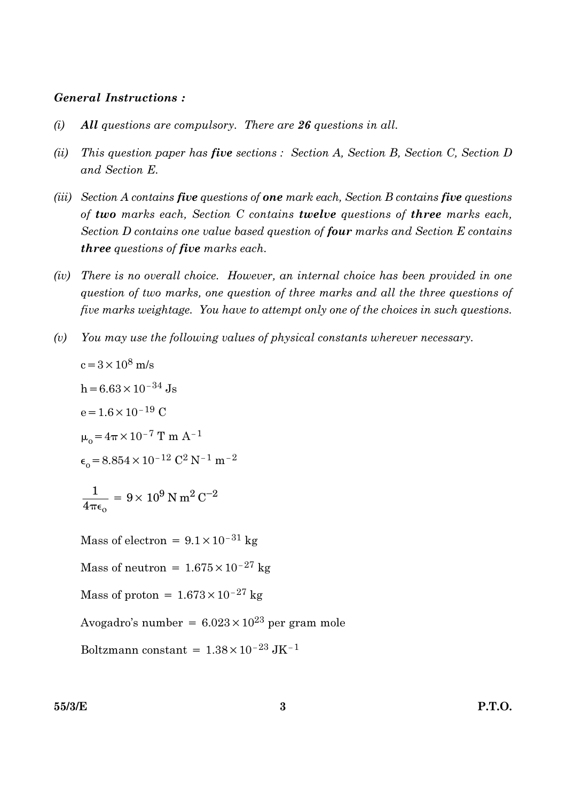#### **General Instructions:**

- All questions are compulsory. There are 26 questions in all.  $(i)$
- $(ii)$ This question paper has five sections : Section A, Section B, Section C, Section D and Section E.
- (iii) Section A contains five questions of one mark each, Section B contains five questions of two marks each, Section C contains twelve questions of three marks each, Section D contains one value based question of four marks and Section E contains **three** questions of five marks each.
- (iv) There is no overall choice. However, an internal choice has been provided in one question of two marks, one question of three marks and all the three questions of five marks weightage. You have to attempt only one of the choices in such questions.
- $(v)$ You may use the following values of physical constants wherever necessary.

$$
c = 3 \times 10^8 \text{ m/s}
$$
  
\n
$$
h = 6.63 \times 10^{-34} \text{ Js}
$$
  
\n
$$
e = 1.6 \times 10^{-19} \text{ C}
$$
  
\n
$$
\mu_0 = 4\pi \times 10^{-7} \text{ T m A}^{-1}
$$
  
\n
$$
\epsilon_0 = 8.854 \times 10^{-12} \text{ C}^2 \text{ N}^{-1} \text{ m}^{-2}
$$
  
\n
$$
\frac{1}{4\pi\epsilon_0} = 9 \times 10^9 \text{ N m}^2 \text{ C}^{-2}
$$
  
\nMass of electron =  $9.1 \times 10^{-31} \text{ kg}$   
\nMass of neutron =  $1.675 \times 10^{-27} \text{ kg}$ 

Mass of proton =  $1.673 \times 10^{-27}$  kg

Avogadro's number =  $6.023 \times 10^{23}$  per gram mole

Boltzmann constant =  $1.38 \times 10^{-23}$  JK<sup>-1</sup>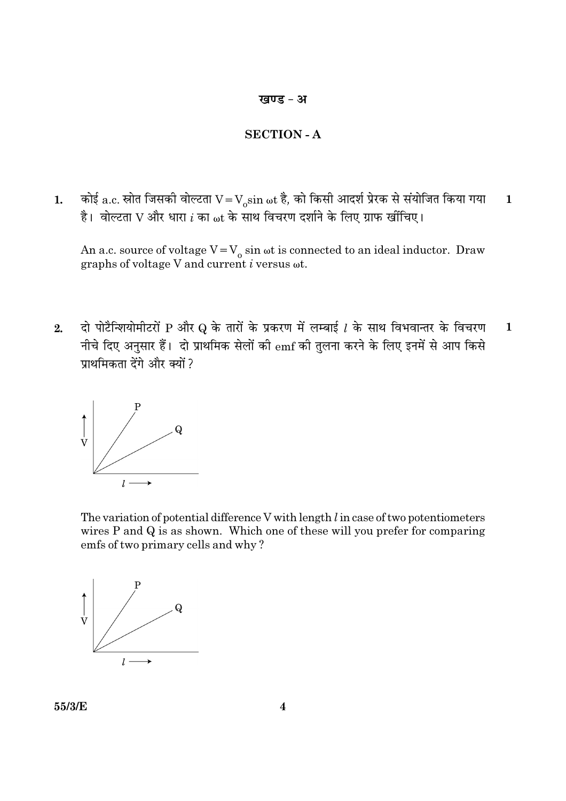#### खण्ड - अ

#### **SECTION - A**

कोई  $\rm{a.c.}$  स्रोत जिसकी वोल्टता  $\rm{V}\!=\!V_{o}sin$   $\rm{\omega}t$  है, को किसी आदर्श प्रेरक से संयोजित किया गया  $1.$  $\mathbf{1}$ है। वोल्टता V और धारा i का wt के साथ विचरण दर्शाने के लिए ग्राफ खींचिए।

An a.c. source of voltage  $V = V_0 \sin \omega t$  is connected to an ideal inductor. Draw graphs of voltage V and current  $i$  versus  $\omega t$ .

दो पोटैन्शियोमीटरों P और Q के तारों के प्रकरण में लम्बाई  $l$  के साथ विभवान्तर के विचरण  $2.$  $\mathbf{1}$ नीचे दिए अनुसार हैं। दो प्राथमिक सेलों की  $\mathrm{emf}$  की तुलना करने के लिए इनमें से आप किसे प्राथमिकता देंगे और क्यों ?



The variation of potential difference  $V$  with length  $l$  in case of two potentiometers wires  $P$  and  $Q$  is as shown. Which one of these will you prefer for comparing emfs of two primary cells and why?

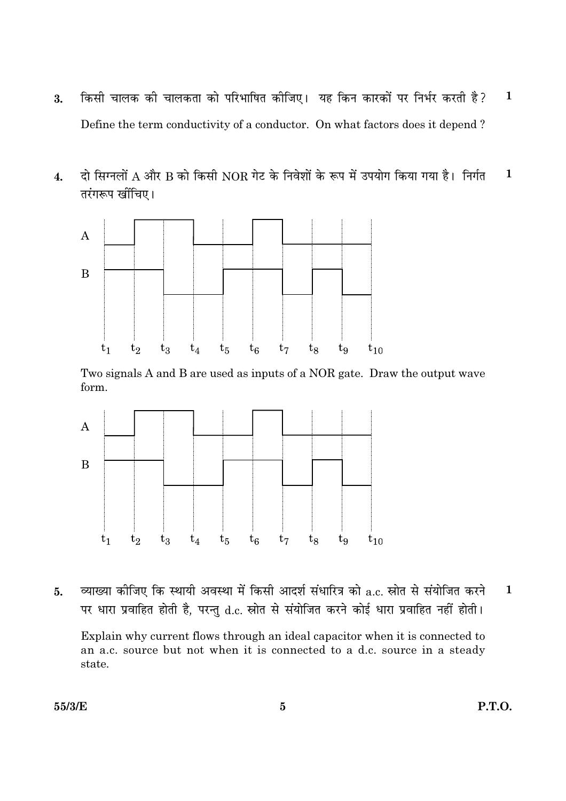- किसी चालक की चालकता को परिभाषित कीजिए। यह किन कारकों पर निर्भर करती है?  $\mathbf{1}$ 3. Define the term conductivity of a conductor. On what factors does it depend?
- दो सिग्नलों A और B को किसी NOR गेट के निवेशों के रूप में उपयोग किया गया है। निर्गत  $\mathbf{1}$  $\overline{4}$ . तरंगरूप खींचिए।



Two signals A and B are used as inputs of a NOR gate. Draw the output wave form.



व्याख्या कीजिए कि स्थायी अवस्था में किसी आदर्श संधारित्र को a.c. स्रोत से संयोजित करने  $\mathbf{1}$  $5<sub>1</sub>$ पर धारा प्रवाहित होती है, परन्तु d.c. स्रोत से संयोजित करने कोई धारा प्रवाहित नहीं होती।

Explain why current flows through an ideal capacitor when it is connected to an a.c. source but not when it is connected to a d.c. source in a steady state.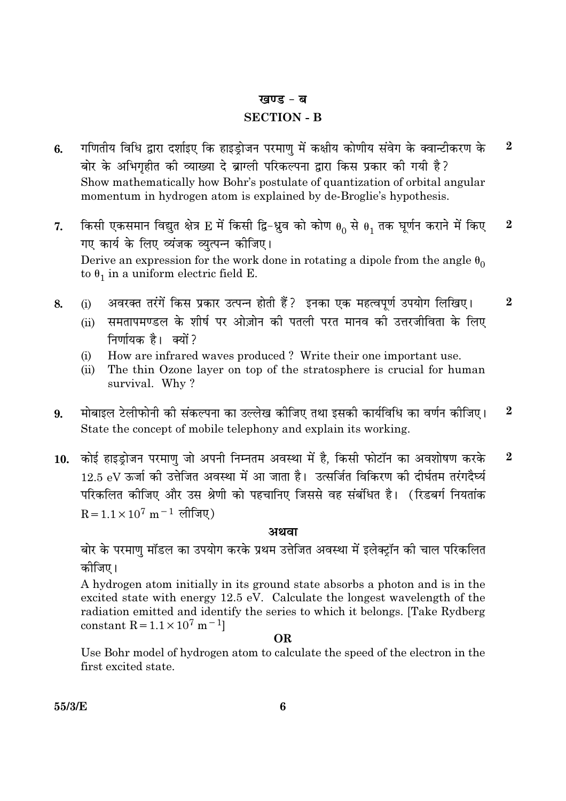#### खण्ड - ब

#### **SECTION - B**

- गणितीय विधि द्वारा दर्शाइए कि हाइड़ोजन परमाण में कक्षीय कोणीय संवेग के क्वान्टीकरण के  $\overline{2}$  $6.$ बोर के अभिगहीत की व्याख्या दे ब्राग्ली परिकल्पना द्वारा किस प्रकार की गयी है? Show mathematically how Bohr's postulate of quantization of orbital angular momentum in hydrogen atom is explained by de-Broglie's hypothesis.
- किसी एकसमान विद्युत क्षेत्र E में किसी द्वि-ध्रुव को कोण  $\theta_0$  से  $\theta_1$  तक घूर्णन कराने में किए  $\overline{2}$  $7.$ गए कार्य के लिए व्यंजक व्युत्पन्न कीजिए। Derive an expression for the work done in rotating a dipole from the angle  $\theta_0$ to  $\theta_1$  in a uniform electric field E.
- अवरक्त तरंगें किस प्रकार उत्पन्न होती हैं? इनका एक महत्वपूर्ण उपयोग लिखिए।  $\overline{2}$ 8.  $(i)$ 
	- समतापमण्डल के शीर्ष पर ओजोन की पतली परत मानव की उत्तरजीविता के लिए  $(ii)$ निर्णायक है। क्यों ?
	- How are infrared waves produced? Write their one important use.  $(i)$
	- The thin Ozone layer on top of the stratosphere is crucial for human  $(ii)$ survival. Why?
- मोबाइल टेलीफोनी की संकल्पना का उल्लेख कीजिए तथा इसकी कार्यविधि का वर्णन कीजिए।  $\boldsymbol{2}$ 9. State the concept of mobile telephony and explain its working.
- 10. कोई हाइड़ोजन परमाणु जो अपनी निम्नतम अवस्था में है, किसी फोटॉन का अवशोषण करके  $\overline{2}$ 12.5 eV ऊर्जा की उत्तेजित अवस्था में आ जाता है। उत्सर्जित विकिरण की दीर्घतम तरंगदैर्घ्य परिकलित कीजिए और उस श्रेणी को पहचानिए जिससे वह संबंधित है। (रिडबर्ग नियतांक  $R = 1.1 \times 10^{7}$  m<sup>-1</sup> लीजिए)

#### अथवा

बोर के परमाण मॉडल का उपयोग करके प्रथम उत्तेजित अवस्था में इलेक्ट्रॉन की चाल परिकलित कोजिए।

A hydrogen atom initially in its ground state absorbs a photon and is in the excited state with energy 12.5 eV. Calculate the longest wavelength of the radiation emitted and identify the series to which it belongs. [Take Rydberg] constant  $R = 1.1 \times 10^7$  m<sup>-1</sup>]

#### OR.

Use Bohr model of hydrogen atom to calculate the speed of the electron in the first excited state.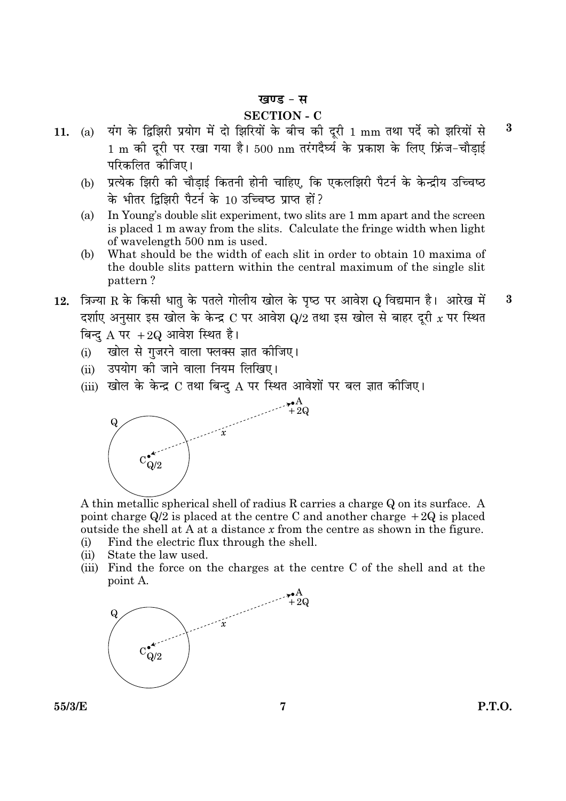#### खण्ड - स

#### **SECTION - C**

- यंग के द्विझिरी प्रयोग में दो झिरियों के बीच की दूरी 1 mm तथा पर्दे को झरियों से 11.  $(a)$ 1 m की दूरी पर रखा गया है। 500 nm तरंगदैर्घ्य के प्रकाश के लिए फ्रिंज-चौड़ाई परिकलित कीजिए।
	- प्रत्येक झिरी की चौड़ाई कितनी होनी चाहिए, कि एकलझिरी पैटर्न के केन्द्रीय उच्चिष्ठ  $(b)$ के भीतर द्विझिरी पैटर्न के 10 उच्चिष्ठ प्राप्त हों?
	- In Young's double slit experiment, two slits are 1 mm apart and the screen  $(a)$ is placed 1 m away from the slits. Calculate the fringe width when light of wavelength 500 nm is used.
	- (b) What should be the width of each slit in order to obtain 10 maxima of the double slits pattern within the central maximum of the single slit pattern?
- 12. त्रिज्या R के किसी धातु के पतले गोलीय खोल के पृष्ठ पर आवेश Q विद्यमान है। आरेख में  $\boldsymbol{3}$ दर्शाए अनुसार इस खोल के केन्द्र C पर आवेश Q/2 तथा इस खोल से बाहर दूरी  $x$  पर स्थित बिन्दु $A$  पर +2Q आवेश स्थित है।
	- खोल से गुजरने वाला फ्लक्स ज्ञात कीजिए।  $(i)$
	- (ii) उपयोग की जाने वाला नियम लिखिए।
	- (iii) खोल के केन्द्र C तथा बिन्दु A पर स्थित आवेशों पर बल ज्ञात कीजिए।



A thin metallic spherical shell of radius R carries a charge Q on its surface. A point charge  $Q/2$  is placed at the centre C and another charge  $+2Q$  is placed outside the shell at A at a distance  $x$  from the centre as shown in the figure.

- Find the electric flux through the shell.  $(i)$
- State the law used.  $(ii)$
- (iii) Find the force on the charges at the centre C of the shell and at the point A.



55/3/E

 $\bf{3}$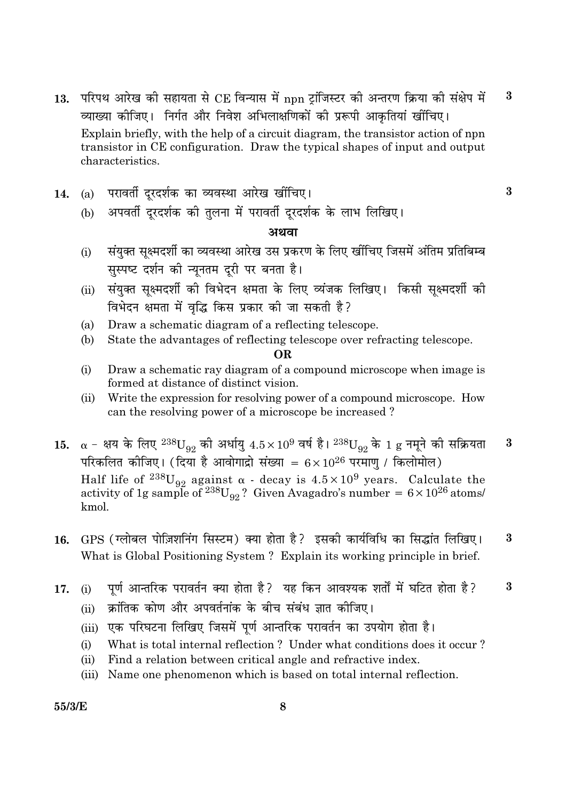- 13. परिपथ आरेख की सहायता से CE विन्यास में npn ट्रांजिस्टर की अन्तरण क्रिया की संक्षेप में व्याख्या कीजिए। निर्गत और निवेश अभिलाक्षणिकों की प्ररूपी आकतियां खींचिए। Explain briefly, with the help of a circuit diagram, the transistor action of npn transistor in CE configuration. Draw the typical shapes of input and output characteristics.
- परावर्ती दरदर्शक का व्यवस्था आरेख खींचिए। 14.  $(a)$ 
	- अपवर्ती दूरदर्शक की तुलना में परावर्ती दूरदर्शक के लाभ लिखिए।  $(b)$

#### अथवा

- संयुक्त सूक्ष्मदर्शी का व्यवस्था आरेख उस प्रकरण के लिए खींचिए जिसमें अंतिम प्रतिबिम्ब  $(i)$ सुस्पष्ट दर्शन की न्यूनतम दूरी पर बनता है।
- संयुक्त सूक्ष्मदर्शी की विभेदन क्षमता के लिए व्यंजक लिखिए। किसी सूक्ष्मदर्शी की  $(ii)$ विभेदन क्षमता में वृद्धि किस प्रकार की जा सकती है?
- Draw a schematic diagram of a reflecting telescope. (a)
- State the advantages of reflecting telescope over refracting telescope. (b)

#### **OR**

- Draw a schematic ray diagram of a compound microscope when image is  $(i)$ formed at distance of distinct vision.
- Write the expression for resolving power of a compound microscope. How  $(ii)$ can the resolving power of a microscope be increased?
- 15. α क्षय के लिए  $^{238}$ U<sub>09</sub> की अर्धायु  $4.5 \times 10^9$  वर्ष है।  $^{238}$ U<sub>09</sub> के 1 g नमूने की सक्रियता  $\bf{3}$ परिकलित कीजिए। (दिया है आवोगाद्रो संख्या =  $6 \times 10^{26}$  परमाणु / किलोमोल) Half life of  $^{238}U_{92}$  against  $\alpha$  - decay is  $4.5 \times 10^9$  years. Calculate the activity of 1g sample of  $^{238}U_{92}$ ? Given Avagadro's number =  $6 \times 10^{26}$  atoms/ kmol.
- 16. GPS (ग्लोबल पोजिशनिंग सिस्टम) क्या होता है? इसकी कार्यविधि का सिद्धांत लिखिए।  $\bf{3}$ What is Global Positioning System? Explain its working principle in brief.
- पर्ण आन्तरिक परावर्तन क्या होता है? यह किन आवश्यक शर्तों में घटित होता है?  $\bf{3}$  $17.$  $(i)$ 
	- <u>क्रांतिक कोण और अपवर्तनांक के बीच संबंध ज्ञात कीजिए।</u>  $(ii)$
	- (iii) एक परिघटना लिखिए जिसमें पूर्ण आन्तरिक परावर्तन का उपयोग होता है।
	- What is total internal reflection? Under what conditions does it occur?  $(i)$
	- $(ii)$ Find a relation between critical angle and refractive index.
	- (iii) Name one phenomenon which is based on total internal reflection.

#### 55/3/E

 $\bf{3}$ 

 $\bf{3}$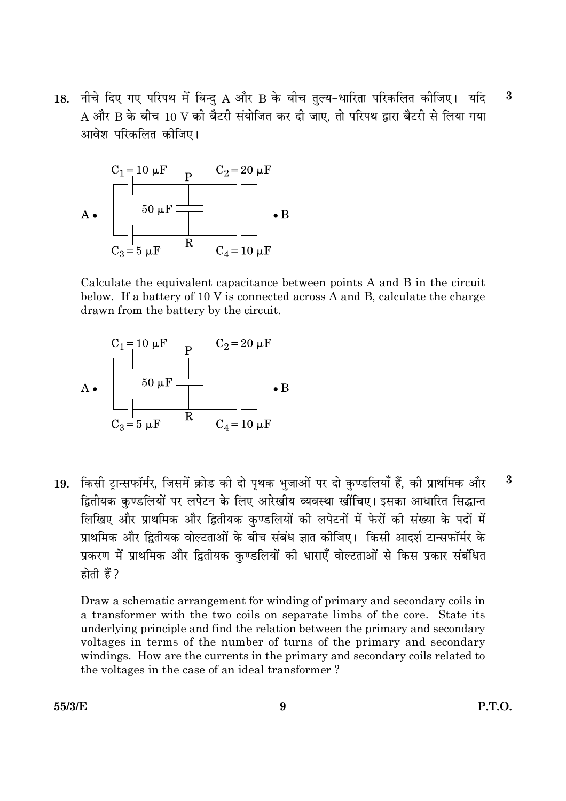18. नीचे दिए गए परिपथ में बिन्दु A और B के बीच तुल्य-धारिता परिकलित कीजिए। यदि  $\bf{3}$ A और B के बीच 10 V की बैटरी संयोजित कर दी जाए, तो परिपथ द्वारा बैटरी से लिया गया आवेश परिकलित कीजिए।



Calculate the equivalent capacitance between points A and B in the circuit below. If a battery of 10 V is connected across A and B, calculate the charge drawn from the battery by the circuit.



19. किसी ट्रान्सफॉर्मर, जिसमें क्रोड की दो पृथक भुजाओं पर दो कुण्डलियाँ हैं, की प्राथमिक और  $\bf{3}$ द्वितीयक कण्डलियों पर लपेटन के लिए आरेखीय व्यवस्था खींचिए। इसका आधारित सिद्धान्त लिखिए और प्राथमिक और द्वितीयक कण्डलियों की लपेटनों में फेरों की संख्या के पदों में प्राथमिक और द्वितीयक वोल्टताओं के बीच संबंध ज्ञात कीजिए। किसी आदर्श टान्सफॉर्मर के प्रकरण में प्राथमिक और द्वितीयक कुण्डलियों की धाराएँ वोल्टताओं से किस प्रकार संबंधित होती हैं ?

Draw a schematic arrangement for winding of primary and secondary coils in a transformer with the two coils on separate limbs of the core. State its underlying principle and find the relation between the primary and secondary voltages in terms of the number of turns of the primary and secondary windings. How are the currents in the primary and secondary coils related to the voltages in the case of an ideal transformer?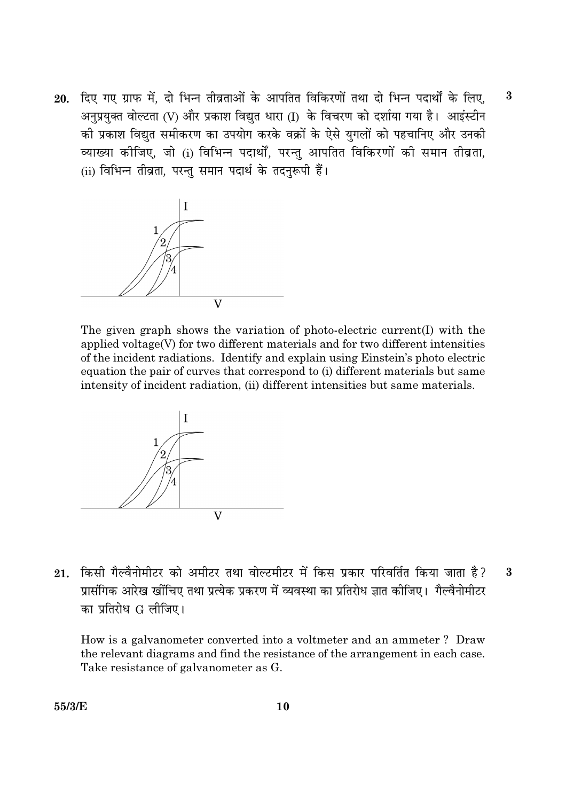20. दिए गए ग्राफ में, दो भिन्न तीव्रताओं के आपतित विकिरणों तथा दो भिन्न पदार्थों के लिए,  $\bf{3}$ अनप्रयक्त वोल्टता (V) और प्रकाश विद्यत धारा (I) के विचरण को दर्शाया गया है। आइंस्टीन की प्रकाश विद्युत समीकरण का उपयोग करके वक्रों के ऐसे युगलों को पहचानिए और उनकी व्याख्या कीजिए, जो (i) विभिन्न पदार्थों, परन्तु आपतित विकिरणों की समान तीव्रता, (ii) विभिन्न तीव्रता, परन्तु समान पदार्थ के तदनरूपी हैं।



The given graph shows the variation of photo-electric current (I) with the applied voltage(V) for two different materials and for two different intensities of the incident radiations. Identify and explain using Einstein's photo electric equation the pair of curves that correspond to (i) different materials but same intensity of incident radiation, (ii) different intensities but same materials.



21. किसी गैल्वैनोमीटर को अमीटर तथा वोल्टमीटर में किस प्रकार परिवर्तित किया जाता है?  $\bf{3}$ प्रासंगिक आरेख खींचिए तथा प्रत्येक प्रकरण में व्यवस्था का प्रतिरोध ज्ञात कोजिए। गैल्वैनोमीटर का प्रतिरोध G लीजिए।

How is a galvanometer converted into a voltmeter and an ammeter? Draw the relevant diagrams and find the resistance of the arrangement in each case. Take resistance of galvanometer as G.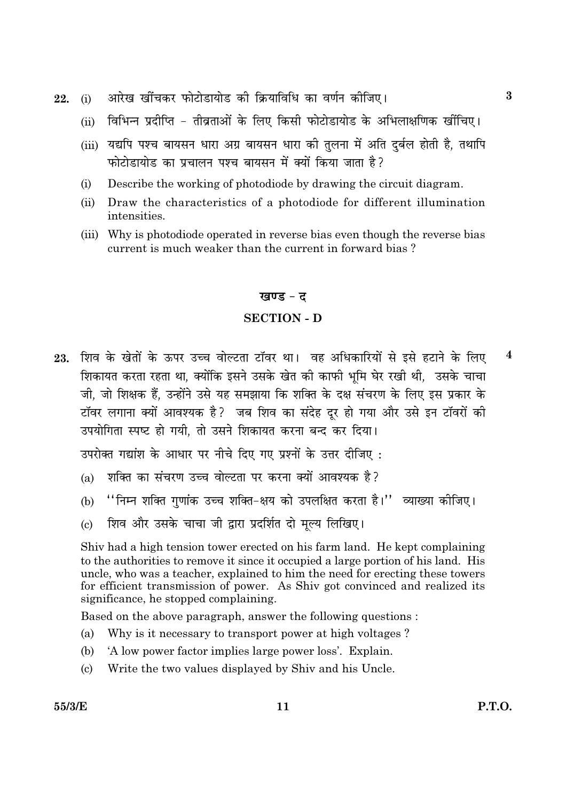- आरेख खींचकर फोटोडायोड की क्रियाविधि का वर्णन कीजिए। 22.  $(i)$ 
	- विभिन्न प्रदीप्ति तीव्रताओं के लिए किसी फोटोडायोड के अभिलाक्षणिक खींचिए।  $(ii)$
	- (iii) यद्यपि पश्च बायसन धारा अग्र बायसन धारा की तुलना में अति दुर्बल होती है, तथापि फोटोडायोड का प्रचालन पश्च बायसन में क्यों किया जाता है?
	- Describe the working of photodiode by drawing the circuit diagram.  $(i)$
	- $(ii)$ Draw the characteristics of a photodiode for different illumination intensities
	- (iii) Why is photodiode operated in reverse bias even though the reverse bias current is much weaker than the current in forward hias?

#### खण्ड - ट

#### **SECTION - D**

23. शिव के खेतों के ऊपर उच्च वोल्टता टॉवर था। वह अधिकारियों से इसे हटाने के लिए  $\overline{\mathbf{4}}$ शिकायत करता रहता था, क्योंकि इसने उसके खेत की काफी भूमि घेर रखी थी, उसके चाचा जी, जो शिक्षक हैं, उन्होंने उसे यह समझाया कि शक्ति के दक्ष संचरण के लिए इस प्रकार के टॉवर लगाना क्यों आवश्यक है? जब शिव का संदेह दर हो गया और उसे इन टॉवरों की उपयोगिता स्पष्ट हो गयी. तो उसने शिकायत करना बन्द कर दिया।

उपरोक्त गद्यांश के आधार पर नीचे दिए गए प्रश्नों के उत्तर दीजिए :

- शक्ति का संचरण उच्च वोल्टता पर करना क्यों आवश्यक है?  $(a)$
- ''निम्न शक्ति गुणांक उच्च शक्ति-क्षय को उपलक्षित करता है।'' व्याख्या कीजिए।  $(b)$
- शिव और उसके चाचा जी द्वारा प्रदर्शित दो मूल्य लिखिए।  $\left( \mathrm{c} \right)$

Shiv had a high tension tower erected on his farm land. He kept complaining to the authorities to remove it since it occupied a large portion of his land. His uncle, who was a teacher, explained to him the need for erecting these towers for efficient transmission of power. As Shiv got convinced and realized its significance, he stopped complaining.

Based on the above paragraph, answer the following questions:

- Why is it necessary to transport power at high voltages?  $(a)$
- (b) 'A low power factor implies large power loss'. Explain.
- Write the two values displayed by Shiv and his Uncle.  $(c)$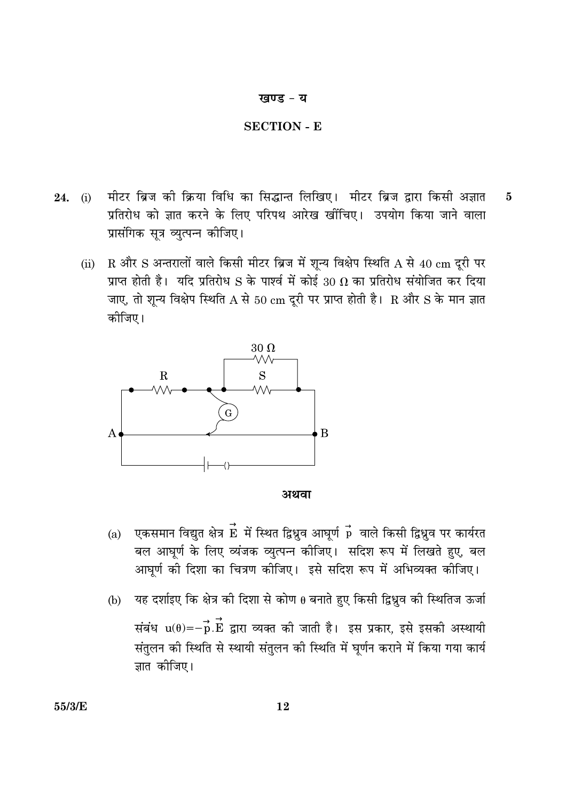#### खण्ड - य

#### **SECTION - E**

- मीटर ब्रिज की क्रिया विधि का सिद्धान्त लिखिए। मीटर ब्रिज द्वारा किसी अज्ञात  $24.$  (i)  $\overline{5}$ प्रतिरोध को ज्ञात करने के लिए परिपथ आरेख खींचिए। उपयोग किया जाने वाला प्रासंगिक सूत्र व्युत्पन्न कीजिए।
	- $R$  और  $S$  अन्तरालों वाले किसी मीटर ब्रिज में शून्य विक्षेप स्थिति  $A$  से  $40\ \mathrm{cm}$  दुरी पर  $(ii)$ प्राप्त होती है। यदि प्रतिरोध S के पार्श्व में कोई 30  $\Omega$  का प्रतिरोध संयोजित कर दिया जाए, तो शून्य विक्षेप स्थिति A से 50 cm दूरी पर प्राप्त होती है। R और S के मान ज्ञात कोजिए।





- एकसमान विद्युत क्षेत्र $\stackrel{\rightarrow}{\text{E}}$  में स्थित द्विध्नुव आघूर्ण  $\stackrel{\rightarrow}{\text{p}}$  वाले किसी द्विध्नुव पर कार्यरत  $(a)$ बल आघूर्ण के लिए व्यंजक व्युत्पन्न कीजिए। सदिश रूप में लिखते हुए, बल आघर्ण की दिशा का चित्रण कीजिए। इसे सदिश रूप में अभिव्यक्त कीजिए।
- यह दर्शाइए कि क्षेत्र की दिशा से कोण 0 बनाते हुए किसी द्विध्रुव की स्थितिज ऊर्जा  $(b)$

संबंध  $u(\theta) = -\vec{p} \cdot \vec{E}$  द्वारा व्यक्त की जाती है। इस प्रकार, इसे इसकी अस्थायी संतुलन की स्थिति से स्थायी संतुलन की स्थिति में घूर्णन कराने में किया गया कार्य ज्ञात कीजिए।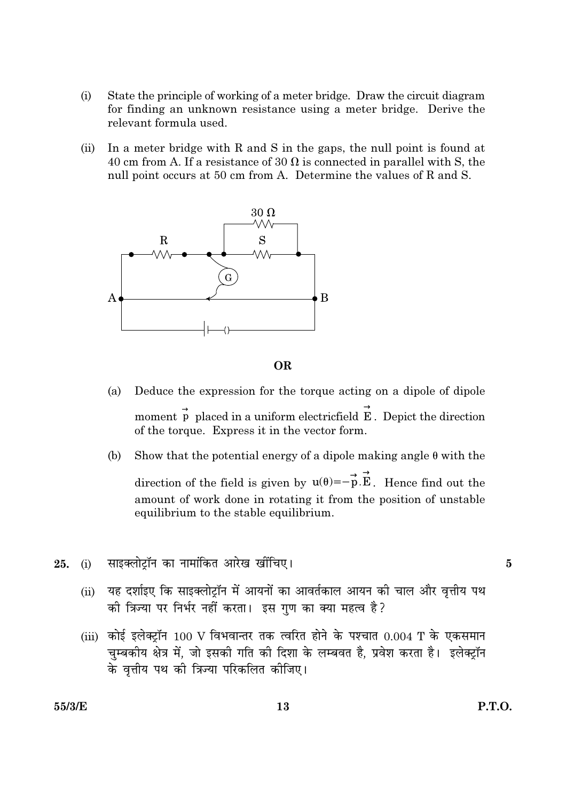- $(i)$ State the principle of working of a meter bridge. Draw the circuit diagram for finding an unknown resistance using a meter bridge. Derive the relevant formula used.
- In a meter bridge with R and S in the gaps, the null point is found at  $(ii)$ 40 cm from A. If a resistance of 30  $\Omega$  is connected in parallel with S, the null point occurs at 50 cm from A. Determine the values of R and S.



**OR** 

- Deduce the expression for the torque acting on a dipole of dipole  $(a)$ moment  $\vec{p}$  placed in a uniform electric<br>field  $\vec{E}$ . Depict the direction of the torque. Express it in the vector form.
- $(b)$ Show that the potential energy of a dipole making angle  $\theta$  with the direction of the field is given by  $u(\theta) = -\vec{p} \cdot \vec{E}$ . Hence find out the

amount of work done in rotating it from the position of unstable equilibrium to the stable equilibrium.

- साइक्लोट्रॉन का नामांकित आरेख खींचिए। 25.  $(i)$ 
	- यह दर्शाइए कि साइक्लोट़ॉन में आयनों का आवर्तकाल आयन की चाल और वृत्तीय पथ  $(ii)$ की त्रिज्या पर निर्भर नहीं करता। इस गुण का क्या महत्व है?
	- (iii) कोई इलेक्ट्रॉन 100 V विभवान्तर तक त्वरित होने के पश्चात 0.004 T के एकसमान चुम्बकीय क्षेत्र में, जो इसकी गति की दिशा के लम्बवत है, प्रवेश करता है। इलेक्ट्रॉन<br>के वृत्तीय पथ की त्रिज्या परिकलित कीजिए।

 $\bf{5}$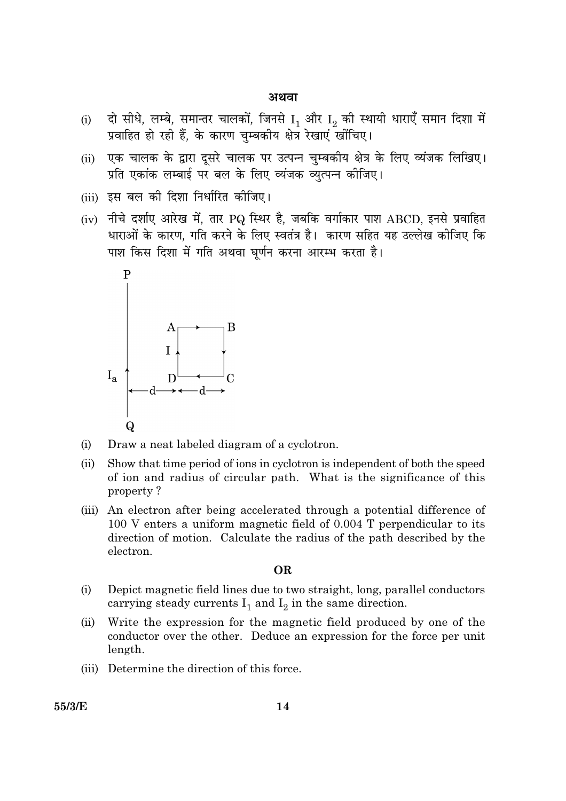#### अथवा

- दो सीधे, लम्बे, समान्तर चालकों, जिनसे  ${\rm I}_1$  और  ${\rm I}_2$  की स्थायी धाराएँ समान दिशा में<br>प्रवाहित हो रही हैं, के कारण चुम्बकीय क्षेत्र रेखाएं खींचिए।  $(i)$
- एक चालक के द्वारा दूसरे चालक पर उत्पन्न चुम्बकीय क्षेत्र के लिए व्यंजक लिखिए।<br>प्रति एकांक लम्बाई पर बल के लिए व्यंजक व्युत्पन्न कीजिए।  $(ii)$
- (iii) इस बल की दिशा निर्धारित कीजिए।
- (iv) नीचे दर्शाए आरेख में, तार PQ स्थिर है, जबकि वर्गाकार पाश ABCD, इनसे प्रवाहित धाराओं के कारण, गति करने के लिए स्वतंत्र है। कारण सहित यह उल्लेख कीजिए कि पाश किस दिशा में गति अथवा घूर्णन करना आरम्भ करता है।



- Draw a neat labeled diagram of a cyclotron.  $(i)$
- $(ii)$ Show that time period of ions in cyclotron is independent of both the speed of ion and radius of circular path. What is the significance of this property?
- (iii) An electron after being accelerated through a potential difference of 100 V enters a uniform magnetic field of 0.004 T perpendicular to its direction of motion. Calculate the radius of the path described by the electron.

#### OR.

- Depict magnetic field lines due to two straight, long, parallel conductors  $(i)$ carrying steady currents  $I_1$  and  $I_2$  in the same direction.
- Write the expression for the magnetic field produced by one of the  $(ii)$ conductor over the other. Deduce an expression for the force per unit length.
- (iii) Determine the direction of this force.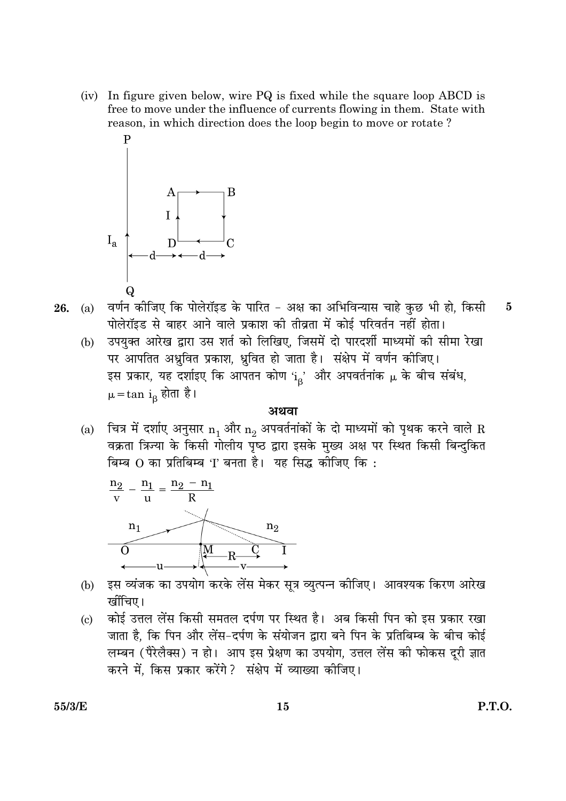(iv) In figure given below, wire PQ is fixed while the square loop ABCD is free to move under the influence of currents flowing in them. State with reason, in which direction does the loop begin to move or rotate?



- (a) वर्णन कीजिए कि पोलेरॉइड के पारित अक्ष का अभिविन्यास चाहे कुछ भी हो, किसी  $\bf{5}$ 26. पोलेरॉइड से बाहर आने वाले प्रकाश की तीव्रता में कोई परिवर्तन नहीं होता।
	- उपयुक्त आरेख द्वारा उस शर्त को लिखिए, जिसमें दो पारदर्शी माध्यमों की सीमा रेखा  $(b)$ पर आपतित अधुवित प्रकाश, ध्रुवित हो जाता है। संक्षेप में वर्णन कीजिए। इस प्रकार, यह दर्शाइए कि आपतन कोण 'i<sub>B</sub>' और अपवर्तनांक µ के बीच संबंध,  $\mu = \tan i_8$  होता है।

#### अथवा

बिम्ब $O$  का प्रतिबिम्ब 'I' बनता है। यह सिद्ध कीजिए कि :



- इस व्यंजक का उपयोग करके लेंस मेकर सूत्र व्युत्पन्न कीजिए। आवश्यक किरण आरेख (b) खोंचिए।
- कोई उत्तल लेंस किसी समतल दर्पण पर स्थित है। अब किसी पिन को इस प्रकार रखा  $(c)$ जाता है, कि पिन और लेंस-दर्पण के संयोजन द्वारा बने पिन के प्रतिबिम्ब के बीच कोई लम्बन (पैरेलैक्स) न हो। आप इस प्रेक्षण का उपयोग, उत्तल लेंस की फोकस दूरी ज्ञात करने में, किस प्रकार करेंगे? संक्षेप में व्याख्या कीजिए।